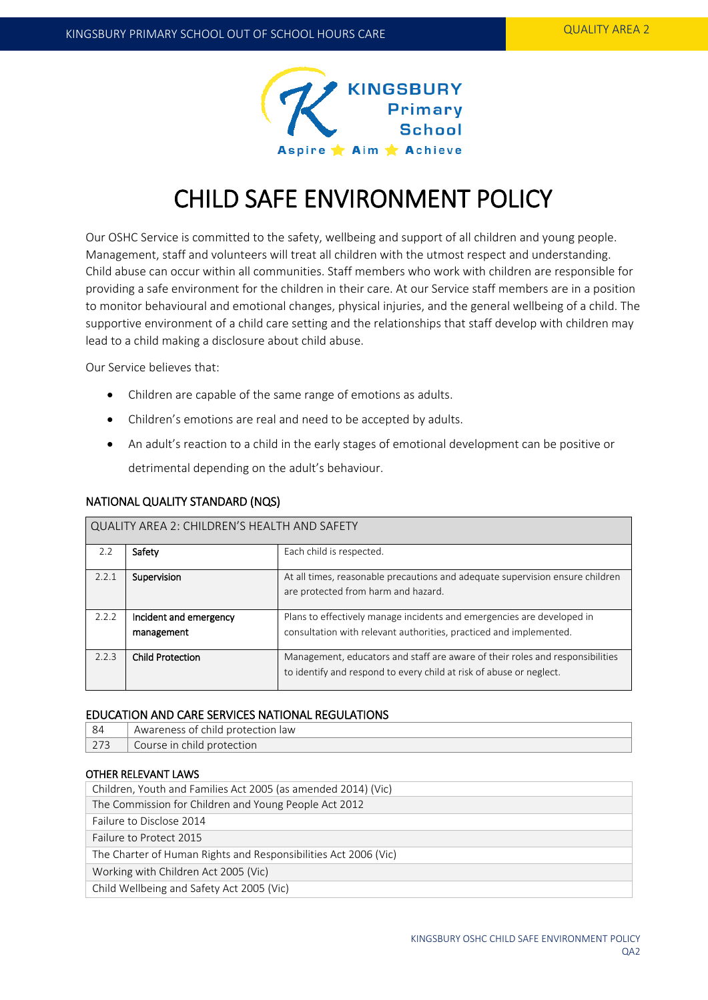

# CHILD SAFE ENVIRONMENT POLICY

Our OSHC Service is committed to the safety, wellbeing and support of all children and young people. Management, staff and volunteers will treat all children with the utmost respect and understanding. Child abuse can occur within all communities. Staff members who work with children are responsible for providing a safe environment for the children in their care. At our Service staff members are in a position to monitor behavioural and emotional changes, physical injuries, and the general wellbeing of a child. The supportive environment of a child care setting and the relationships that staff develop with children may lead to a child making a disclosure about child abuse.

Our Service believes that:

- Children are capable of the same range of emotions as adults.
- Children's emotions are real and need to be accepted by adults.
- An adult's reaction to a child in the early stages of emotional development can be positive or detrimental depending on the adult's behaviour.

| INATIONAL QUALITY STANDARD (INQS)            |                                      |                                                                                                                                                      |  |  |  |
|----------------------------------------------|--------------------------------------|------------------------------------------------------------------------------------------------------------------------------------------------------|--|--|--|
| QUALITY AREA 2: CHILDREN'S HEALTH AND SAFETY |                                      |                                                                                                                                                      |  |  |  |
| 2.2                                          | Safety                               | Each child is respected.                                                                                                                             |  |  |  |
| 2.2.1                                        | Supervision                          | At all times, reasonable precautions and adequate supervision ensure children<br>are protected from harm and hazard.                                 |  |  |  |
| 2.2.2                                        | Incident and emergency<br>management | Plans to effectively manage incidents and emergencies are developed in<br>consultation with relevant authorities, practiced and implemented.         |  |  |  |
| 2.2.3                                        | <b>Child Protection</b>              | Management, educators and staff are aware of their roles and responsibilities<br>to identify and respond to every child at risk of abuse or neglect. |  |  |  |

# NATIONAL QUALITY STANDARD (NQS)

## EDUCATION AND CARE SERVICES NATIONAL REGULATIONS

| -84 | Awareness of child protection law |  |
|-----|-----------------------------------|--|
|     | Course in child protection        |  |

# OTHER RELEVANT LAWS

| Children, Youth and Families Act 2005 (as amended 2014) (Vic)   |  |  |
|-----------------------------------------------------------------|--|--|
| The Commission for Children and Young People Act 2012           |  |  |
| Failure to Disclose 2014                                        |  |  |
| Failure to Protect 2015                                         |  |  |
| The Charter of Human Rights and Responsibilities Act 2006 (Vic) |  |  |
| Working with Children Act 2005 (Vic)                            |  |  |
| Child Wellbeing and Safety Act 2005 (Vic)                       |  |  |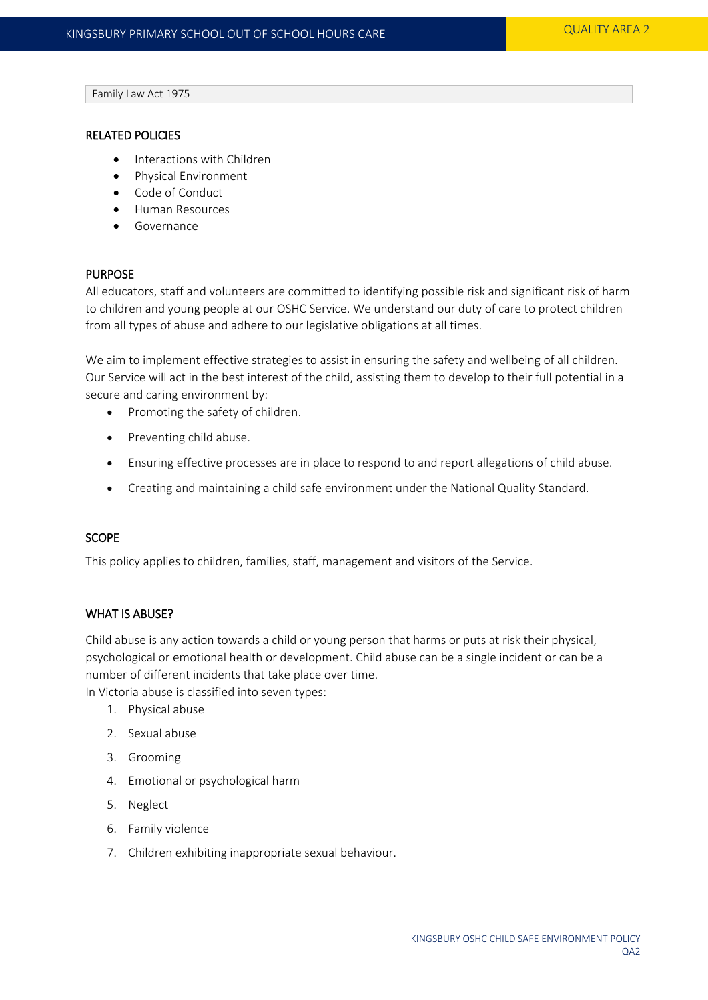Family Law Act 1975

#### RELATED POLICIES

- Interactions with Children
- Physical Environment
- Code of Conduct
- **•** Human Resources
- **•** Governance

#### PURPOSE

All educators, staff and volunteers are committed to identifying possible risk and significant risk of harm to children and young people at our OSHC Service. We understand our duty of care to protect children from all types of abuse and adhere to our legislative obligations at all times.

We aim to implement effective strategies to assist in ensuring the safety and wellbeing of all children. Our Service will act in the best interest of the child, assisting them to develop to their full potential in a secure and caring environment by:

- Promoting the safety of children.
- Preventing child abuse.
- Ensuring effective processes are in place to respond to and report allegations of child abuse.
- Creating and maintaining a child safe environment under the National Quality Standard.

#### **SCOPE**

This policy applies to children, families, staff, management and visitors of the Service.

## WHAT IS ABUSE?

Child abuse is any action towards a child or young person that harms or puts at risk their physical, psychological or emotional health or development. Child abuse can be a single incident or can be a number of different incidents that take place over time.

In Victoria abuse is classified into seven types:

- 1. Physical abuse
- 2. Sexual abuse
- 3. Grooming
- 4. Emotional or psychological harm
- 5. Neglect
- 6. Family violence
- 7. Children exhibiting inappropriate sexual behaviour.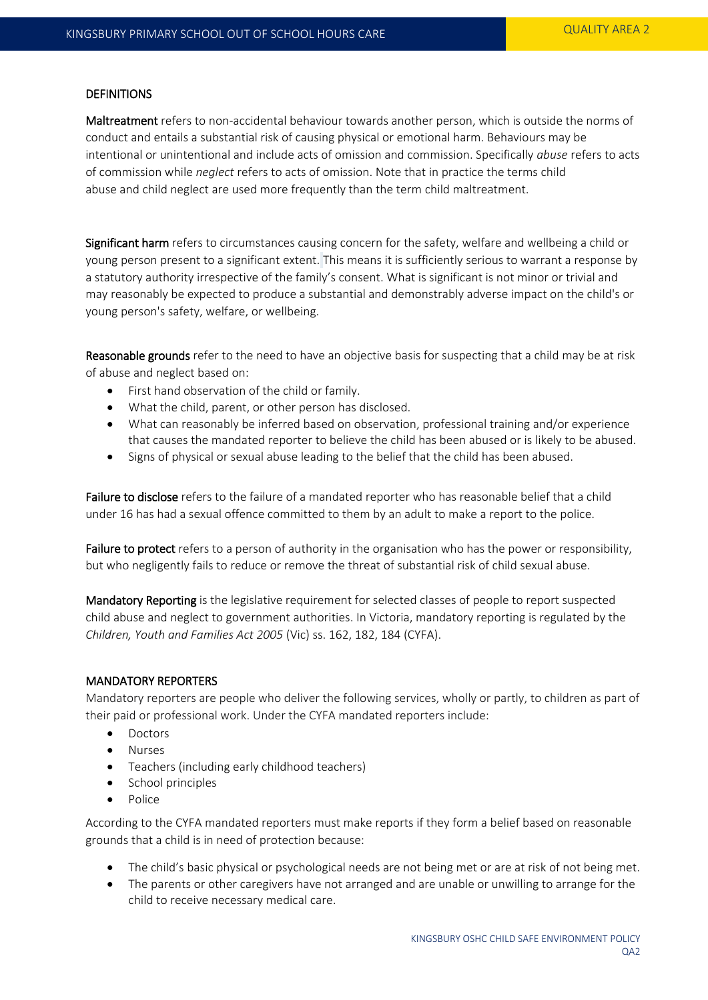#### **DEFINITIONS**

Maltreatment refers to non-accidental behaviour towards another person, which is outside the norms of conduct and entails a substantial risk of causing physical or emotional harm. Behaviours may be intentional or unintentional and include acts of omission and commission. Specifically *abuse* refers to acts of commission while *neglect* refers to acts of omission. Note that in practice the terms child abuse and child neglect are used more frequently than the term child maltreatment.

Significant harm refers to circumstances causing concern for the safety, welfare and wellbeing a child or young person present to a significant extent. This means it is sufficiently serious to warrant a response by a statutory authority irrespective of the family's consent. What is significant is not minor or trivial and may reasonably be expected to produce a substantial and demonstrably adverse impact on the child's or young person's safety, welfare, or wellbeing.

Reasonable grounds refer to the need to have an objective basis for suspecting that a child may be at risk of abuse and neglect based on:

- First hand observation of the child or family.
- What the child, parent, or other person has disclosed.
- What can reasonably be inferred based on observation, professional training and/or experience that causes the mandated reporter to believe the child has been abused or is likely to be abused.
- Signs of physical or sexual abuse leading to the belief that the child has been abused.

Failure to disclose refers to the failure of a mandated reporter who has reasonable belief that a child under 16 has had a sexual offence committed to them by an adult to make a report to the police.

Failure to protect refers to a person of authority in the organisation who has the power or responsibility, but who negligently fails to reduce or remove the threat of substantial risk of child sexual abuse.

Mandatory Reporting is the legislative requirement for selected classes of people to report suspected child abuse and neglect to government authorities. In Victoria, mandatory reporting is regulated by the *Children, Youth and Families Act 2005* (Vic) ss. 162, 182, 184 (CYFA).

## MANDATORY REPORTERS

Mandatory reporters are people who deliver the following services, wholly or partly, to children as part of their paid or professional work. Under the CYFA mandated reporters include:

- Doctors
- Nurses
- Teachers (including early childhood teachers)
- School principles
- Police

According to the CYFA mandated reporters must make reports if they form a belief based on reasonable grounds that a child is in need of protection because:

- The child's basic physical or psychological needs are not being met or are at risk of not being met.
- The parents or other caregivers have not arranged and are unable or unwilling to arrange for the child to receive necessary medical care.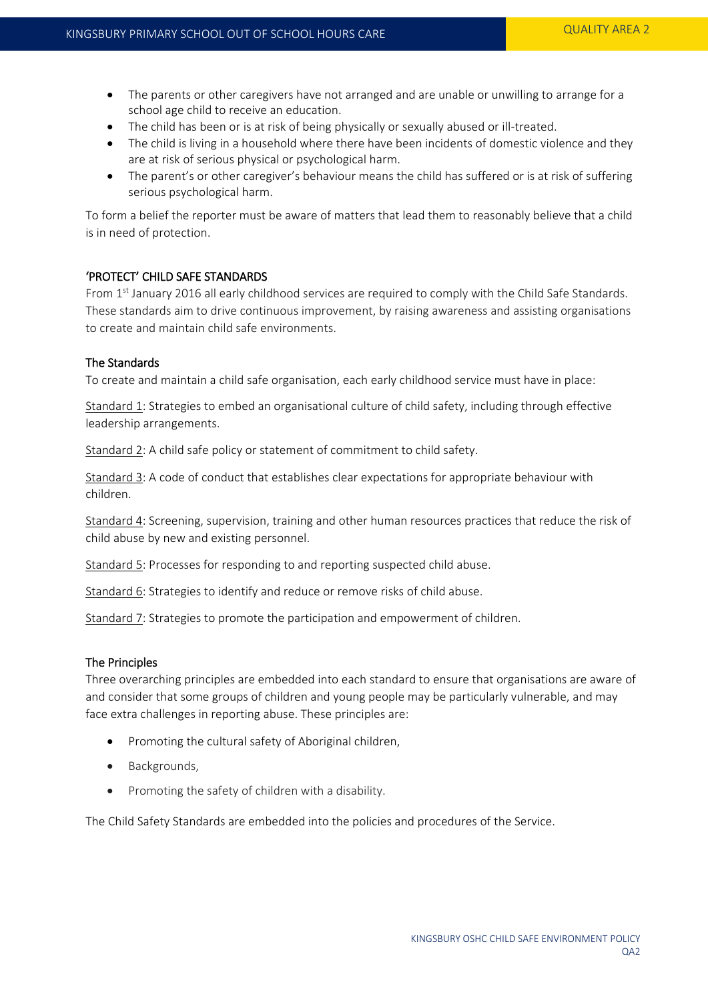- The parents or other caregivers have not arranged and are unable or unwilling to arrange for a school age child to receive an education.
- The child has been or is at risk of being physically or sexually abused or ill-treated.
- The child is living in a household where there have been incidents of domestic violence and they are at risk of serious physical or psychological harm.
- The parent's or other caregiver's behaviour means the child has suffered or is at risk of suffering serious psychological harm.

To form a belief the reporter must be aware of matters that lead them to reasonably believe that a child is in need of protection.

#### 'PROTECT' CHILD SAFE STANDARDS

From 1<sup>st</sup> January 2016 all early childhood services are required to comply with the Child Safe Standards. These standards aim to drive continuous improvement, by raising awareness and assisting organisations to create and maintain child safe environments.

## The Standards

To create and maintain a child safe organisation, each early childhood service must have in place:

Standard 1: Strategies to embed an organisational culture of child safety, including through effective leadership arrangements.

Standard 2: A child safe policy or statement of commitment to child safety.

Standard 3: A code of conduct that establishes clear expectations for appropriate behaviour with children.

Standard 4: Screening, supervision, training and other human resources practices that reduce the risk of child abuse by new and existing personnel.

Standard 5: Processes for responding to and reporting suspected child abuse.

Standard 6: Strategies to identify and reduce or remove risks of child abuse.

Standard 7: Strategies to promote the participation and empowerment of children.

#### The Principles

Three overarching principles are embedded into each standard to ensure that organisations are aware of and consider that some groups of children and young people may be particularly vulnerable, and may face extra challenges in reporting abuse. These principles are:

- Promoting the cultural safety of Aboriginal children,
- Backgrounds,
- Promoting the safety of children with a disability.

The Child Safety Standards are embedded into the policies and procedures of the Service.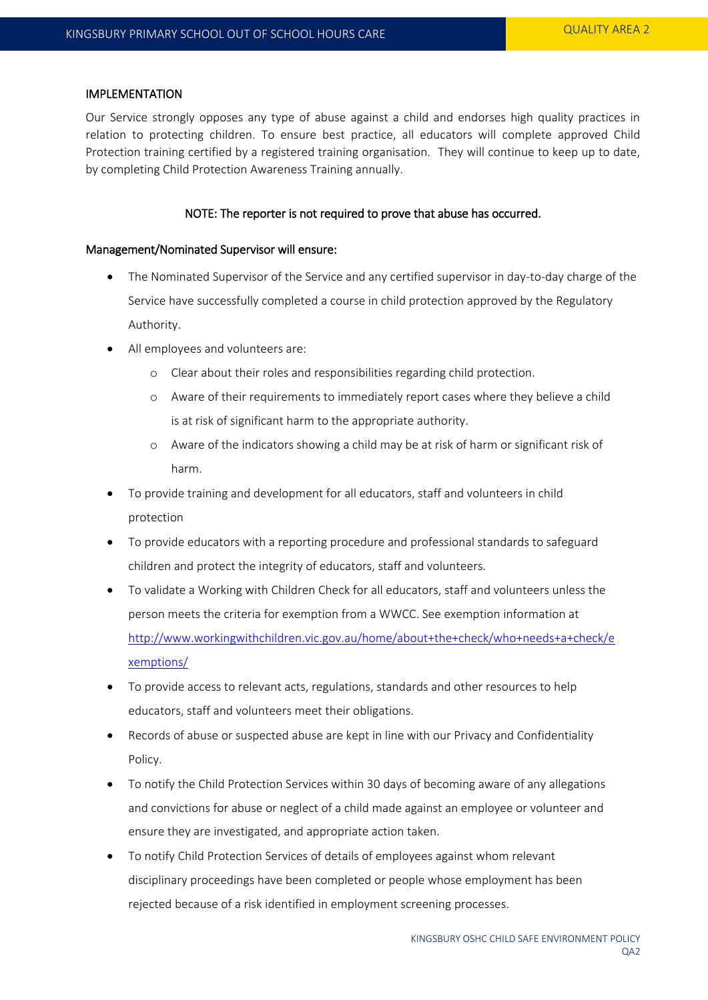#### IMPLEMENTATION

Our Service strongly opposes any type of abuse against a child and endorses high quality practices in relation to protecting children. To ensure best practice, all educators will complete approved Child Protection training certified by a registered training organisation. They will continue to keep up to date, by completing Child Protection Awareness Training annually.

## NOTE: The reporter is not required to prove that abuse has occurred.

#### Management/Nominated Supervisor will ensure:

- The Nominated Supervisor of the Service and any certified supervisor in day-to-day charge of the Service have successfully completed a course in child protection approved by the Regulatory Authority.
- All employees and volunteers are:
	- o Clear about their roles and responsibilities regarding child protection.
	- o Aware of their requirements to immediately report cases where they believe a child is at risk of significant harm to the appropriate authority.
	- o Aware of the indicators showing a child may be at risk of harm or significant risk of harm.
- To provide training and development for all educators, staff and volunteers in child protection
- To provide educators with a reporting procedure and professional standards to safeguard children and protect the integrity of educators, staff and volunteers.
- To validate a Working with Children Check for all educators, staff and volunteers unless the person meets the criteria for exemption from a WWCC. See exemption information at [http://www.workingwithchildren.vic.gov.au/home/about+the+check/who+needs+a+check/e](http://www.workingwithchildren.vic.gov.au/home/about+the+check/who+needs+a+check/exemptions/) [xemptions/](http://www.workingwithchildren.vic.gov.au/home/about+the+check/who+needs+a+check/exemptions/)
- To provide access to relevant acts, regulations, standards and other resources to help educators, staff and volunteers meet their obligations.
- Records of abuse or suspected abuse are kept in line with our Privacy and Confidentiality Policy.
- To notify the Child Protection Services within 30 days of becoming aware of any allegations and convictions for abuse or neglect of a child made against an employee or volunteer and ensure they are investigated, and appropriate action taken.
- To notify Child Protection Services of details of employees against whom relevant disciplinary proceedings have been completed or people whose employment has been rejected because of a risk identified in employment screening processes.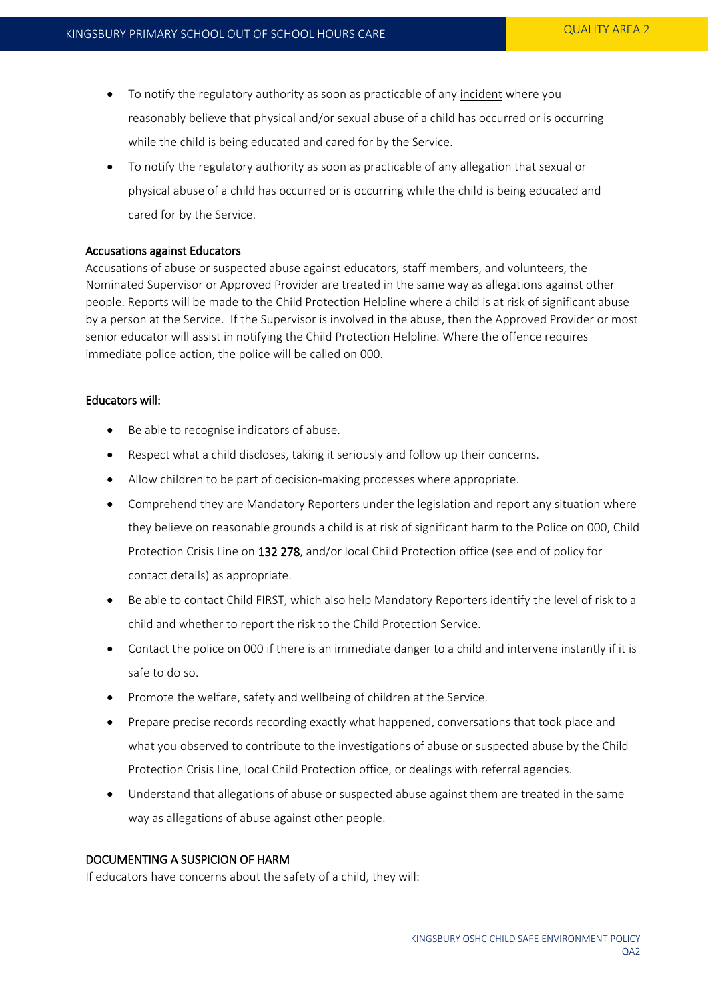- To notify the regulatory authority as soon as practicable of any incident where you reasonably believe that physical and/or sexual abuse of a child has occurred or is occurring while the child is being educated and cared for by the Service.
- To notify the regulatory authority as soon as practicable of any allegation that sexual or physical abuse of a child has occurred or is occurring while the child is being educated and cared for by the Service.

#### Accusations against Educators

Accusations of abuse or suspected abuse against educators, staff members, and volunteers, the Nominated Supervisor or Approved Provider are treated in the same way as allegations against other people. Reports will be made to the Child Protection Helpline where a child is at risk of significant abuse by a person at the Service. If the Supervisor is involved in the abuse, then the Approved Provider or most senior educator will assist in notifying the Child Protection Helpline. Where the offence requires immediate police action, the police will be called on 000.

#### Educators will:

- Be able to recognise indicators of abuse.
- Respect what a child discloses, taking it seriously and follow up their concerns.
- Allow children to be part of decision-making processes where appropriate.
- Comprehend they are Mandatory Reporters under the legislation and report any situation where they believe on reasonable grounds a child is at risk of significant harm to the Police on 000, Child Protection Crisis Line on 132 278, and/or local Child Protection office (see end of policy for contact details) as appropriate.
- Be able to contact Child FIRST, which also help Mandatory Reporters identify the level of risk to a child and whether to report the risk to the Child Protection Service.
- Contact the police on 000 if there is an immediate danger to a child and intervene instantly if it is safe to do so.
- Promote the welfare, safety and wellbeing of children at the Service.
- Prepare precise records recording exactly what happened, conversations that took place and what you observed to contribute to the investigations of abuse or suspected abuse by the Child Protection Crisis Line, local Child Protection office, or dealings with referral agencies.
- Understand that allegations of abuse or suspected abuse against them are treated in the same way as allegations of abuse against other people.

#### DOCUMENTING A SUSPICION OF HARM

If educators have concerns about the safety of a child, they will: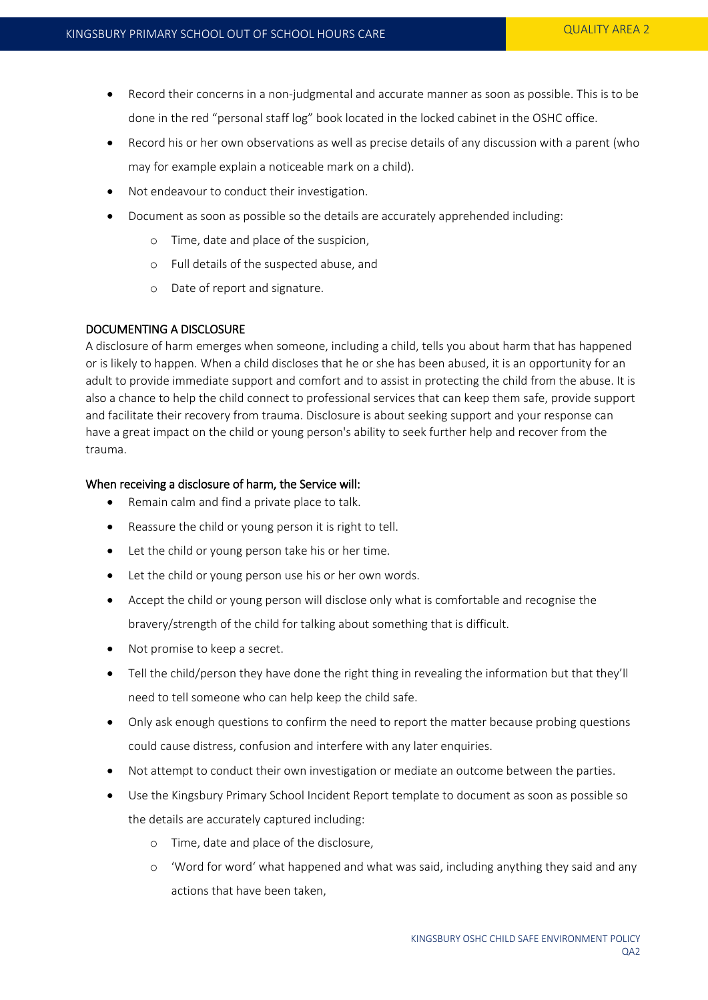- Record their concerns in a non-judgmental and accurate manner as soon as possible. This is to be done in the red "personal staff log" book located in the locked cabinet in the OSHC office.
- Record his or her own observations as well as precise details of any discussion with a parent (who may for example explain a noticeable mark on a child).
- Not endeavour to conduct their investigation.
- Document as soon as possible so the details are accurately apprehended including:
	- o Time, date and place of the suspicion,
	- o Full details of the suspected abuse, and
	- o Date of report and signature.

# DOCUMENTING A DISCLOSURE

A disclosure of harm emerges when someone, including a child, tells you about harm that has happened or is likely to happen. When a child discloses that he or she has been abused, it is an opportunity for an adult to provide immediate support and comfort and to assist in protecting the child from the abuse. It is also a chance to help the child connect to professional services that can keep them safe, provide support and facilitate their recovery from trauma. Disclosure is about seeking support and your response can have a great impact on the child or young person's ability to seek further help and recover from the trauma.

# When receiving a disclosure of harm, the Service will:

- Remain calm and find a private place to talk.
- Reassure the child or young person it is right to tell.
- Let the child or young person take his or her time.
- Let the child or young person use his or her own words.
- Accept the child or young person will disclose only what is comfortable and recognise the bravery/strength of the child for talking about something that is difficult.
- Not promise to keep a secret.
- Tell the child/person they have done the right thing in revealing the information but that they'll need to tell someone who can help keep the child safe.
- Only ask enough questions to confirm the need to report the matter because probing questions could cause distress, confusion and interfere with any later enquiries.
- Not attempt to conduct their own investigation or mediate an outcome between the parties.
- Use the Kingsbury Primary School Incident Report template to document as soon as possible so the details are accurately captured including:
	- o Time, date and place of the disclosure,
	- o 'Word for word' what happened and what was said, including anything they said and any actions that have been taken,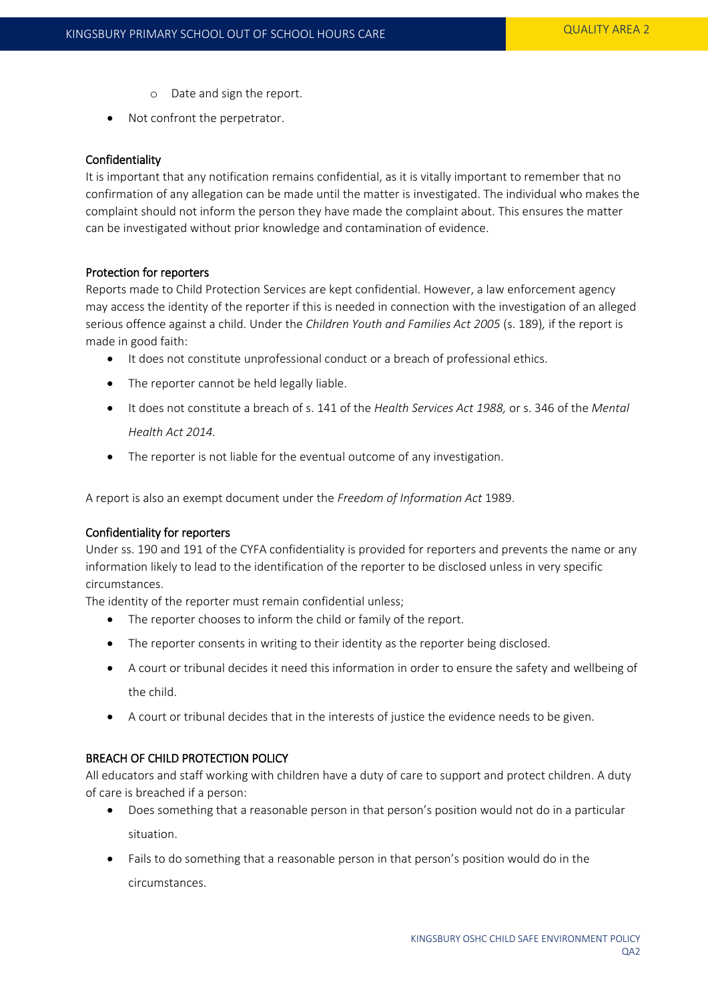- o Date and sign the report.
- Not confront the perpetrator.

## Confidentiality

It is important that any notification remains confidential, as it is vitally important to remember that no confirmation of any allegation can be made until the matter is investigated. The individual who makes the complaint should not inform the person they have made the complaint about. This ensures the matter can be investigated without prior knowledge and contamination of evidence.

## Protection for reporters

Reports made to Child Protection Services are kept confidential. However, a law enforcement agency may access the identity of the reporter if this is needed in connection with the investigation of an alleged serious offence against a child. Under the *Children Youth and Families Act 2005* (s. 189)*,* if the report is made in good faith:

- It does not constitute unprofessional conduct or a breach of professional ethics.
- The reporter cannot be held legally liable.
- It does not constitute a breach of s. 141 of the *Health Services Act 1988,* or s. 346 of the *Mental Health Act 2014.*
- The reporter is not liable for the eventual outcome of any investigation.

A report is also an exempt document under the *Freedom of Information Act* 1989.

# Confidentiality for reporters

Under ss. 190 and 191 of the CYFA confidentiality is provided for reporters and prevents the name or any information likely to lead to the identification of the reporter to be disclosed unless in very specific circumstances.

The identity of the reporter must remain confidential unless;

- The reporter chooses to inform the child or family of the report.
- The reporter consents in writing to their identity as the reporter being disclosed.
- A court or tribunal decides it need this information in order to ensure the safety and wellbeing of the child.
- A court or tribunal decides that in the interests of justice the evidence needs to be given.

# BREACH OF CHILD PROTECTION POLICY

All educators and staff working with children have a duty of care to support and protect children. A duty of care is breached if a person:

- Does something that a reasonable person in that person's position would not do in a particular situation.
- Fails to do something that a reasonable person in that person's position would do in the circumstances.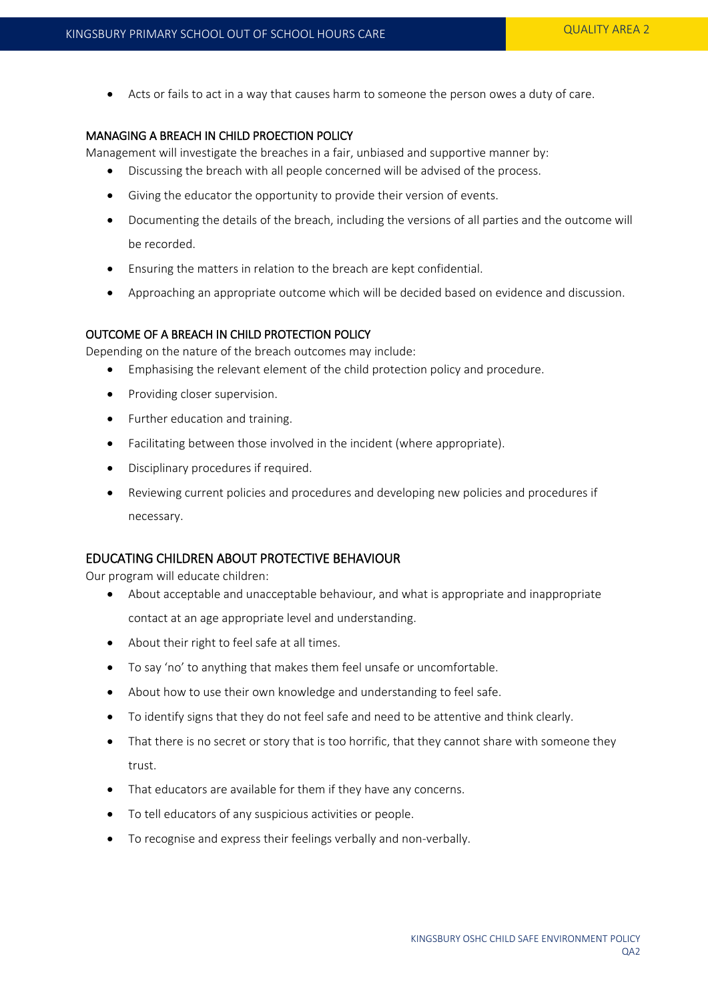Acts or fails to act in a way that causes harm to someone the person owes a duty of care.

## MANAGING A BREACH IN CHILD PROECTION POLICY

Management will investigate the breaches in a fair, unbiased and supportive manner by:

- Discussing the breach with all people concerned will be advised of the process.
- Giving the educator the opportunity to provide their version of events.
- Documenting the details of the breach, including the versions of all parties and the outcome will be recorded.
- Ensuring the matters in relation to the breach are kept confidential.
- Approaching an appropriate outcome which will be decided based on evidence and discussion.

# OUTCOME OF A BREACH IN CHILD PROTECTION POLICY

Depending on the nature of the breach outcomes may include:

- Emphasising the relevant element of the child protection policy and procedure.
- Providing closer supervision.
- Further education and training.
- Facilitating between those involved in the incident (where appropriate).
- Disciplinary procedures if required.
- Reviewing current policies and procedures and developing new policies and procedures if necessary.

## EDUCATING CHILDREN ABOUT PROTECTIVE BEHAVIOUR

Our program will educate children:

- About acceptable and unacceptable behaviour, and what is appropriate and inappropriate contact at an age appropriate level and understanding.
- About their right to feel safe at all times.
- To say 'no' to anything that makes them feel unsafe or uncomfortable.
- About how to use their own knowledge and understanding to feel safe.
- To identify signs that they do not feel safe and need to be attentive and think clearly.
- That there is no secret or story that is too horrific, that they cannot share with someone they trust.
- That educators are available for them if they have any concerns.
- To tell educators of any suspicious activities or people.
- To recognise and express their feelings verbally and non-verbally.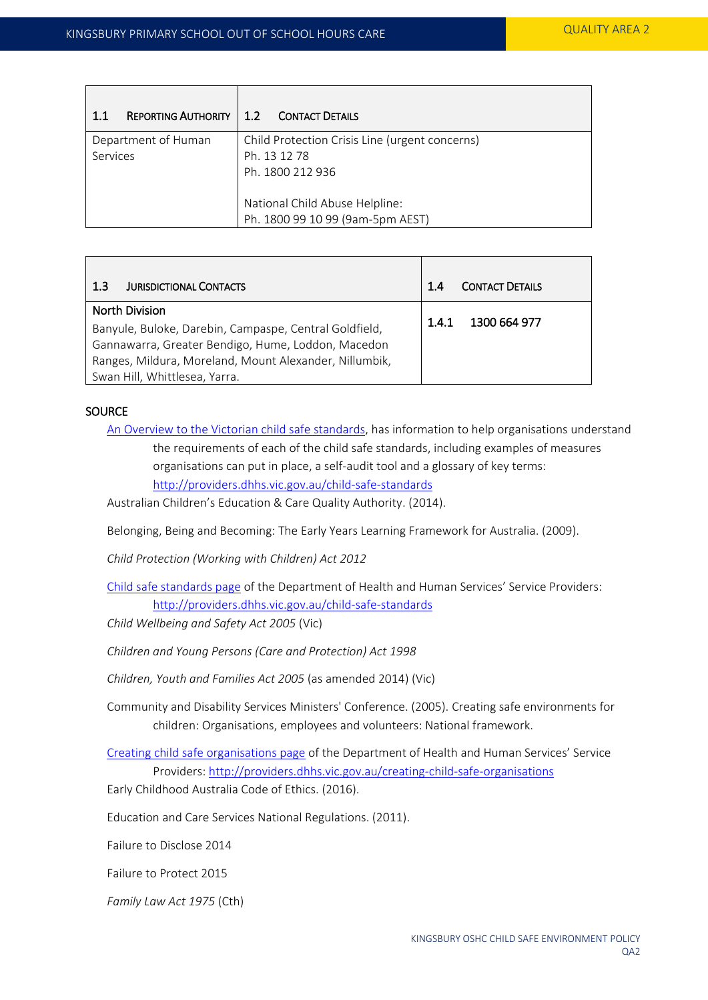| 11                  | <b>REPORTING AUTHORITY   1.2 CONTACT DETAILS</b> |
|---------------------|--------------------------------------------------|
| Department of Human | Child Protection Crisis Line (urgent concerns)   |
| Services            | Ph. 13 12 78                                     |
|                     | Ph. 1800 212 936                                 |
|                     |                                                  |
|                     | National Child Abuse Helpline:                   |
|                     | Ph. 1800 99 10 99 (9am-5pm AEST)                 |

| <b>JURISDICTIONAL CONTACTS</b><br>1.3                                                                                                                                                                                            | <b>CONTACT DETAILS</b> |
|----------------------------------------------------------------------------------------------------------------------------------------------------------------------------------------------------------------------------------|------------------------|
| <b>North Division</b><br>Banyule, Buloke, Darebin, Campaspe, Central Goldfield,<br>Gannawarra, Greater Bendigo, Hume, Loddon, Macedon<br>Ranges, Mildura, Moreland, Mount Alexander, Nillumbik,<br>Swan Hill, Whittlesea, Yarra. | 1300 664 977<br>1.4.1  |

# **SOURCE**

- [An Overview to the Victorian child safe standards,](http://providers.dhhs.vic.gov.au/child-safe-standards) has information to help organisations understand the requirements of each of the child safe standards, including examples of measures organisations can put in place, a self-audit tool and a glossary of key terms: <http://providers.dhhs.vic.gov.au/child-safe-standards>
- Australian Children's Education & Care Quality Authority. (2014).
- Belonging, Being and Becoming: The Early Years Learning Framework for Australia. (2009).
- *Child Protection (Working with Children) Act 2012*
- [Child safe standards page](http://providers.dhhs.vic.gov.au/child-safe-standards) of the Department of Health and Human Services' Service Providers: <http://providers.dhhs.vic.gov.au/child-safe-standards>
- *Child Wellbeing and Safety Act 2005* (Vic)
- *Children and Young Persons (Care and Protection) Act 1998*
- *Children, Youth and Families Act 2005* (as amended 2014) (Vic)
- Community and Disability Services Ministers' Conference. (2005). Creating safe environments for children: Organisations, employees and volunteers: National framework.
- [Creating child safe organisations page](http://providers.dhhs.vic.gov.au/creating-child-safe-organisations) of the Department of Health and Human Services' Service Providers[: http://providers.dhhs.vic.gov.au/creating-child-safe-organisations](http://providers.dhhs.vic.gov.au/creating-child-safe-organisations)
- Early Childhood Australia Code of Ethics. (2016).
- Education and Care Services National Regulations. (2011).
- Failure to Disclose 2014
- Failure to Protect 2015
- *Family Law Act 1975* (Cth)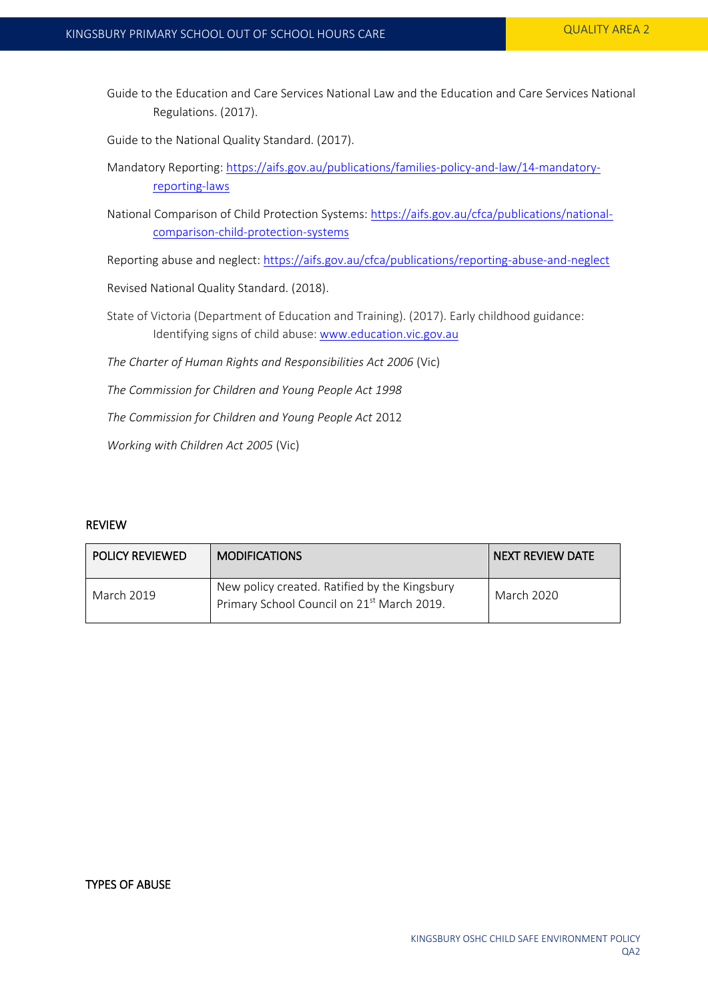Guide to the Education and Care Services National Law and the Education and Care Services National Regulations. (2017).

Guide to the National Quality Standard. (2017).

- Mandatory Reporting: [https://aifs.gov.au/publications/families-policy-and-law/14-mandatory](https://aifs.gov.au/publications/families-policy-and-law/14-mandatory-reporting-laws)[reporting-laws](https://aifs.gov.au/publications/families-policy-and-law/14-mandatory-reporting-laws)
- National Comparison of Child Protection Systems: [https://aifs.gov.au/cfca/publications/national](https://aifs.gov.au/cfca/publications/national-comparison-child-protection-systems)[comparison-child-protection-systems](https://aifs.gov.au/cfca/publications/national-comparison-child-protection-systems)

Reporting abuse and neglect[: https://aifs.gov.au/cfca/publications/reporting-abuse-and-neglect](https://aifs.gov.au/cfca/publications/reporting-abuse-and-neglect)

Revised National Quality Standard. (2018).

- State of Victoria (Department of Education and Training). (2017). Early childhood guidance: Identifying signs of child abuse: [www.education.vic.gov.au](http://www.education.vic.gov.au/)
- *The Charter of Human Rights and Responsibilities Act 2006* (Vic)
- *The Commission for Children and Young People Act 1998*

*The Commission for Children and Young People Act* 2012

*Working with Children Act 2005* (Vic)

## REVIEW

| <b>POLICY REVIEWED</b> | <b>MODIFICATIONS</b>                                                                                    | NEXT REVIEW DATE |
|------------------------|---------------------------------------------------------------------------------------------------------|------------------|
| March 2019             | New policy created. Ratified by the Kingsbury<br>Primary School Council on 21 <sup>st</sup> March 2019. | March 2020       |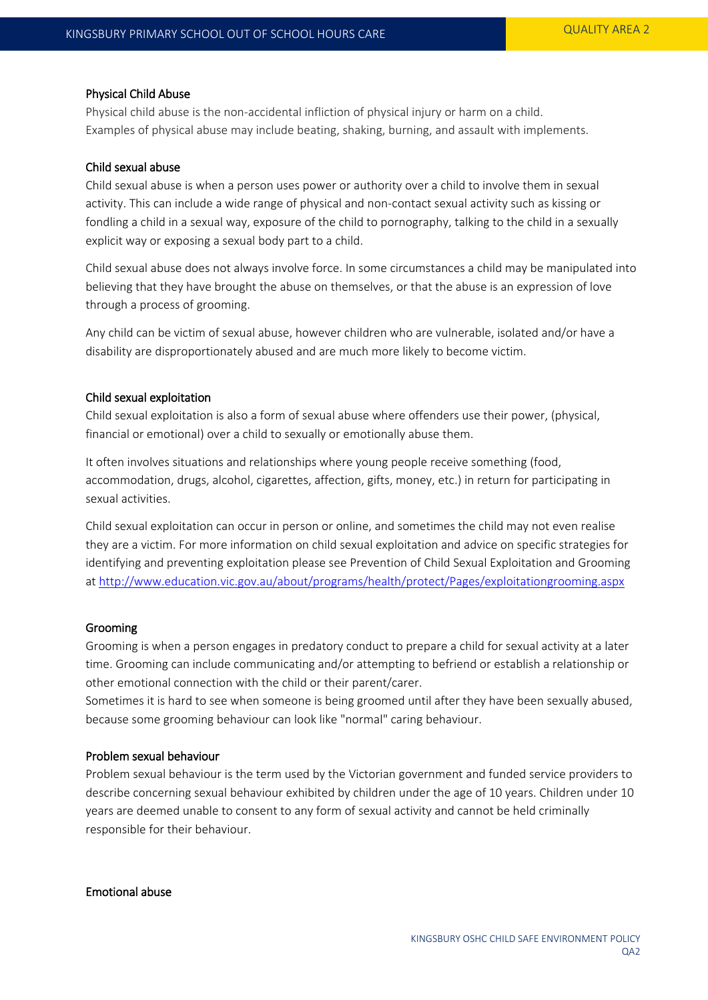#### Physical Child Abuse

Physical child abuse is the non-accidental infliction of physical injury or harm on a child. Examples of physical abuse may include beating, shaking, burning, and assault with implements.

#### Child sexual abuse

Child sexual abuse is when a person uses power or authority over a child to involve them in sexual activity. This can include a wide range of physical and non-contact sexual activity such as kissing or fondling a child in a sexual way, exposure of the child to pornography, talking to the child in a sexually explicit way or exposing a sexual body part to a child.

Child sexual abuse does not always involve force. In some circumstances a child may be manipulated into believing that they have brought the abuse on themselves, or that the abuse is an expression of love through a process of grooming.

Any child can be victim of sexual abuse, however children who are vulnerable, isolated and/or have a disability are disproportionately abused and are much more likely to become victim.

## Child sexual exploitation

Child sexual exploitation is also a form of sexual abuse where offenders use their power, (physical, financial or emotional) over a child to sexually or emotionally abuse them.

It often involves situations and relationships where young people receive something (food, accommodation, drugs, alcohol, cigarettes, affection, gifts, money, etc.) in return for participating in sexual activities.

Child sexual exploitation can occur in person or online, and sometimes the child may not even realise they are a victim. For more information on child sexual exploitation and advice on specific strategies for identifying and preventing exploitation please see Prevention of Child Sexual Exploitation and Grooming at<http://www.education.vic.gov.au/about/programs/health/protect/Pages/exploitationgrooming.aspx>

## Grooming

Grooming is when a person engages in predatory conduct to prepare a child for sexual activity at a later time. Grooming can include communicating and/or attempting to befriend or establish a relationship or other emotional connection with the child or their parent/carer.

Sometimes it is hard to see when someone is being groomed until after they have been sexually abused, because some grooming behaviour can look like "normal" caring behaviour.

## Problem sexual behaviour

Problem sexual behaviour is the term used by the Victorian government and funded service providers to describe concerning sexual behaviour exhibited by children under the age of 10 years. Children under 10 years are deemed unable to consent to any form of sexual activity and cannot be held criminally responsible for their behaviour.

Emotional abuse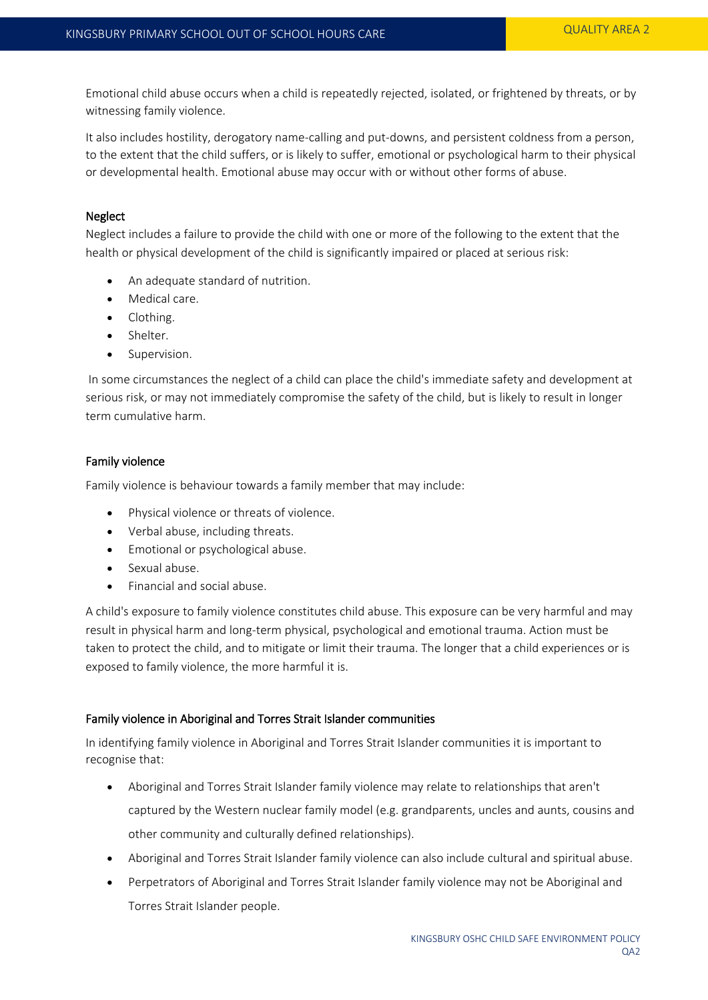Emotional child abuse occurs when a child is repeatedly rejected, isolated, or frightened by threats, or by witnessing family violence.

It also includes hostility, derogatory name-calling and put-downs, and persistent coldness from a person, to the extent that the child suffers, or is likely to suffer, emotional or psychological harm to their physical or developmental health. Emotional abuse may occur with or without other forms of abuse.

# **Neglect**

Neglect includes a failure to provide the child with one or more of the following to the extent that the health or physical development of the child is significantly impaired or placed at serious risk:

- An adequate standard of nutrition.
- Medical care.
- Clothing.
- Shelter.
- Supervision.

In some circumstances the neglect of a child can place the child's immediate safety and development at serious risk, or may not immediately compromise the safety of the child, but is likely to result in longer term cumulative harm.

# Family violence

Family violence is behaviour towards a family member that may include:

- Physical violence or threats of violence.
- Verbal abuse, including threats.
- Emotional or psychological abuse.
- Sexual abuse.
- Financial and social abuse.

A child's exposure to family violence constitutes child abuse. This exposure can be very harmful and may result in physical harm and long-term physical, psychological and emotional trauma. Action must be taken to protect the child, and to mitigate or limit their trauma. The longer that a child experiences or is exposed to family violence, the more harmful it is.

# Family violence in Aboriginal and Torres Strait Islander communities

In identifying family violence in Aboriginal and Torres Strait Islander communities it is important to recognise that:

- Aboriginal and Torres Strait Islander family violence may relate to relationships that aren't captured by the Western nuclear family model (e.g. grandparents, uncles and aunts, cousins and other community and culturally defined relationships).
- Aboriginal and Torres Strait Islander family violence can also include cultural and spiritual abuse.
- Perpetrators of Aboriginal and Torres Strait Islander family violence may not be Aboriginal and Torres Strait Islander people.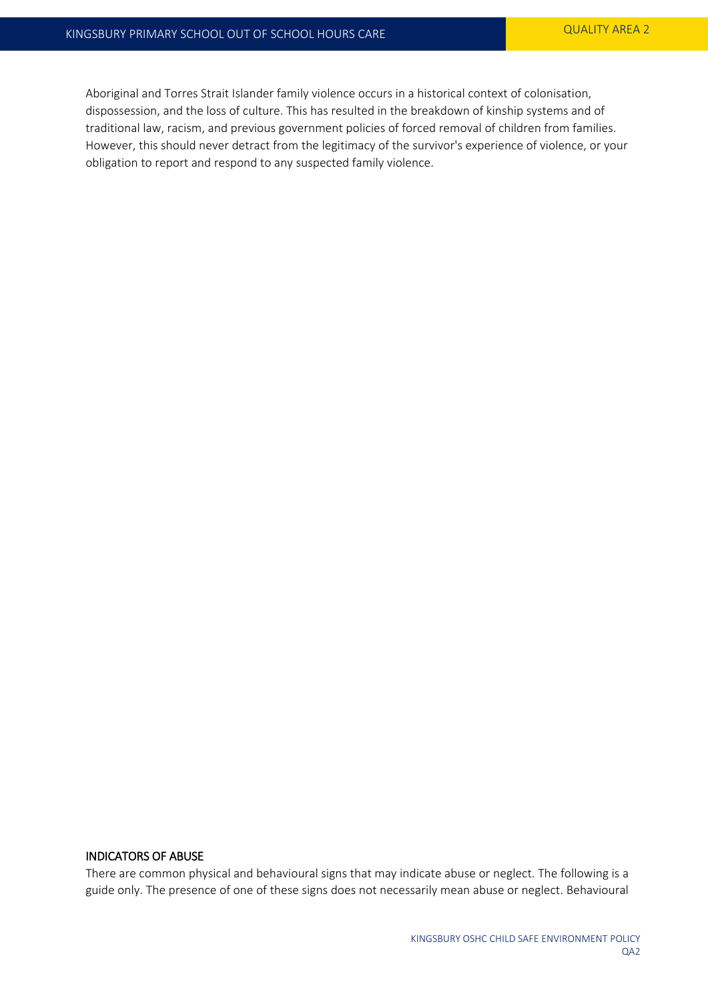Aboriginal and Torres Strait Islander family violence occurs in a historical context of colonisation, dispossession, and the loss of culture. This has resulted in the breakdown of kinship systems and of traditional law, racism, and previous government policies of forced removal of children from families. However, this should never detract from the legitimacy of the survivor's experience of violence, or your obligation to report and respond to any suspected family violence.

## INDICATORS OF ABUSE

There are common physical and behavioural signs that may indicate abuse or neglect. The following is a guide only. The presence of one of these signs does not necessarily mean abuse or neglect. Behavioural